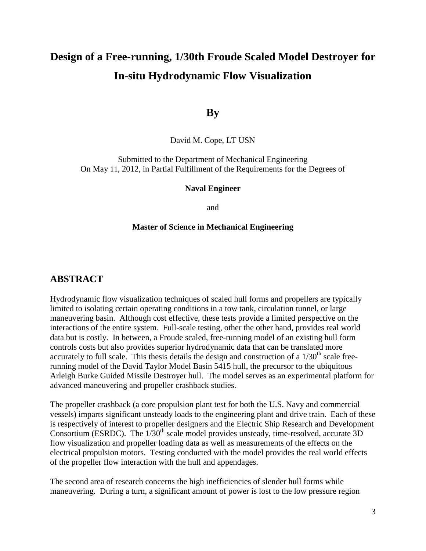# **Design of a Free-running, 1/30th Froude Scaled Model Destroyer for In-situ Hydrodynamic Flow Visualization**

## **By**

David M. Cope, LT USN

Submitted to the Department of Mechanical Engineering On May 11, 2012, in Partial Fulfillment of the Requirements for the Degrees of

#### **Naval Engineer**

and

#### **Master of Science in Mechanical Engineering**

### **ABSTRACT**

Hydrodynamic flow visualization techniques of scaled hull forms and propellers are typically limited to isolating certain operating conditions in a tow tank, circulation tunnel, or large maneuvering basin. Although cost effective, these tests provide a limited perspective on the interactions of the entire system. Full-scale testing, other the other hand, provides real world data but is costly. In between, a Froude scaled, free-running model of an existing hull form controls costs but also provides superior hydrodynamic data that can be translated more accurately to full scale. This thesis details the design and construction of a  $1/30<sup>th</sup>$  scale freerunning model of the David Taylor Model Basin 5415 hull, the precursor to the ubiquitous Arleigh Burke Guided Missile Destroyer hull. The model serves as an experimental platform for advanced maneuvering and propeller crashback studies.

The propeller crashback (a core propulsion plant test for both the U.S. Navy and commercial vessels) imparts significant unsteady loads to the engineering plant and drive train. Each of these is respectively of interest to propeller designers and the Electric Ship Research and Development Consortium (ESRDC). The  $1/30<sup>th</sup>$  scale model provides unsteady, time-resolved, accurate 3D flow visualization and propeller loading data as well as measurements of the effects on the electrical propulsion motors. Testing conducted with the model provides the real world effects of the propeller flow interaction with the hull and appendages.

The second area of research concerns the high inefficiencies of slender hull forms while maneuvering. During a turn, a significant amount of power is lost to the low pressure region